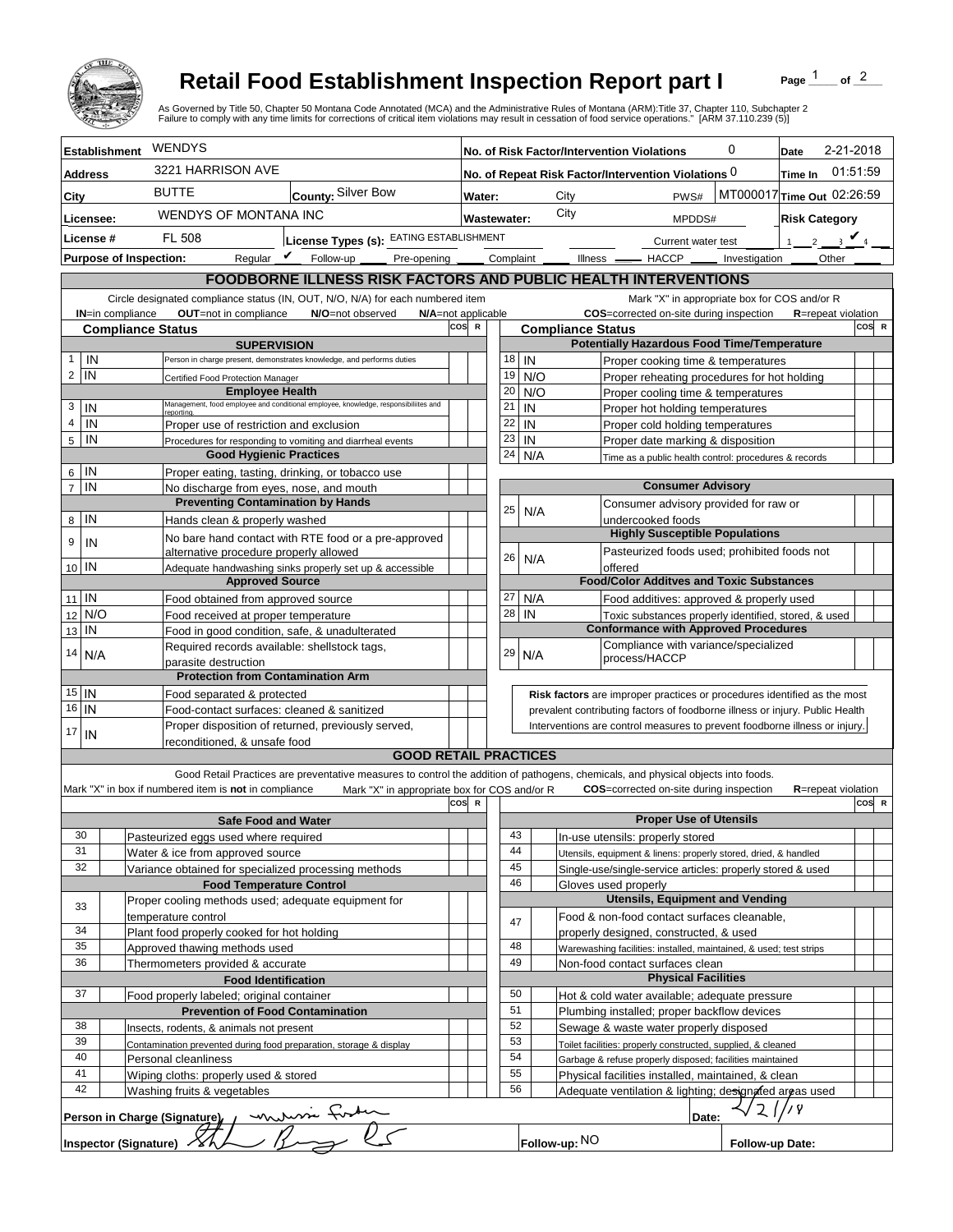

## **Retail Food Establishment Inspection Report part I**

Page  $\frac{1}{1}$  of  $\frac{2}{1}$ 

|                               |                                                                                               | <b>Retail Food Establishment Inspection Report part I</b><br>As Governed by Title 50, Chapter 50 Montana Code Annotated (MCA) and the Administrative Rules of Montana (ARM):Title 37, Chapter 110, Subchapter 2 |     |                                                     |                                                                              |                                                                                             |                          |           |                                  |                   |                            |                                                                                                     | Page                 |                            | of $2$ |  |
|-------------------------------|-----------------------------------------------------------------------------------------------|-----------------------------------------------------------------------------------------------------------------------------------------------------------------------------------------------------------------|-----|-----------------------------------------------------|------------------------------------------------------------------------------|---------------------------------------------------------------------------------------------|--------------------------|-----------|----------------------------------|-------------------|----------------------------|-----------------------------------------------------------------------------------------------------|----------------------|----------------------------|--------|--|
|                               |                                                                                               | Failure to comply with any time limits for corrections of critical item violations may result in cessation of food service operations." [ARM 37.110.239 (5)]                                                    |     |                                                     |                                                                              |                                                                                             |                          |           |                                  |                   |                            |                                                                                                     |                      |                            |        |  |
| <b>Establishment</b>          | <b>WENDYS</b>                                                                                 |                                                                                                                                                                                                                 |     | 0<br>No. of Risk Factor/Intervention Violations     |                                                                              |                                                                                             |                          |           |                                  | 2-21-2018<br>Date |                            |                                                                                                     |                      |                            |        |  |
| <b>Address</b>                | 3221 HARRISON AVE                                                                             |                                                                                                                                                                                                                 |     | No. of Repeat Risk Factor/Intervention Violations 0 |                                                                              |                                                                                             |                          |           |                                  | Time In           | 01:51:59                   |                                                                                                     |                      |                            |        |  |
| City                          | <b>BUTTE</b>                                                                                  | County: Silver Bow                                                                                                                                                                                              |     | Water:                                              |                                                                              |                                                                                             | City                     |           |                                  |                   | PWS#                       | MT000017 Time Out 02:26:59                                                                          |                      |                            |        |  |
| Licensee:                     | WENDYS OF MONTANA INC                                                                         |                                                                                                                                                                                                                 |     |                                                     | <b>Wastewater:</b>                                                           |                                                                                             | City                     |           |                                  |                   | MPDDS#                     |                                                                                                     | <b>Risk Category</b> |                            |        |  |
| License #                     | <b>FL 508</b>                                                                                 | License Types (s): EATING ESTABLISHMENT                                                                                                                                                                         |     |                                                     |                                                                              |                                                                                             |                          |           |                                  |                   | Current water test         |                                                                                                     |                      | 2 $\sqrt{4}$               |        |  |
| <b>Purpose of Inspection:</b> | Regular $\mathbf{\nu}$                                                                        | Follow-up<br>Pre-opening                                                                                                                                                                                        |     |                                                     | Complaint                                                                    |                                                                                             |                          | Illness - |                                  |                   | $-$ HACCP $\_\_$           | Investigation                                                                                       |                      | <b>Other</b>               |        |  |
|                               |                                                                                               |                                                                                                                                                                                                                 |     |                                                     |                                                                              |                                                                                             |                          |           |                                  |                   |                            |                                                                                                     |                      |                            |        |  |
|                               |                                                                                               | FOODBORNE ILLNESS RISK FACTORS AND PUBLIC HEALTH INTERVENTIONS                                                                                                                                                  |     |                                                     |                                                                              |                                                                                             |                          |           |                                  |                   |                            | Mark "X" in appropriate box for COS and/or R                                                        |                      |                            |        |  |
| <b>IN=in compliance</b>       | OUT=not in compliance                                                                         | Circle designated compliance status (IN, OUT, N/O, N/A) for each numbered item<br>N/O=not observed<br>N/A=not applicable                                                                                        |     |                                                     |                                                                              |                                                                                             |                          |           |                                  |                   |                            | COS=corrected on-site during inspection                                                             |                      | <b>R</b> =repeat violation |        |  |
| <b>Compliance Status</b>      |                                                                                               |                                                                                                                                                                                                                 | cos | $\mathbb{R}$                                        |                                                                              |                                                                                             | <b>Compliance Status</b> |           |                                  |                   |                            |                                                                                                     |                      |                            | COS R  |  |
|                               | <b>SUPERVISION</b>                                                                            |                                                                                                                                                                                                                 |     |                                                     |                                                                              |                                                                                             |                          |           |                                  |                   |                            | <b>Potentially Hazardous Food Time/Temperature</b>                                                  |                      |                            |        |  |
| IN<br>$\mathbf{1}$            |                                                                                               | Person in charge present, demonstrates knowledge, and performs duties                                                                                                                                           |     |                                                     | 18                                                                           | IN                                                                                          |                          |           |                                  |                   |                            | Proper cooking time & temperatures                                                                  |                      |                            |        |  |
| $\overline{2}$<br>IN          | Certified Food Protection Manager<br><b>Employee Health</b>                                   |                                                                                                                                                                                                                 |     |                                                     | 19<br>20                                                                     | N/O                                                                                         |                          |           |                                  |                   |                            | Proper reheating procedures for hot holding                                                         |                      |                            |        |  |
| 3<br>IN                       |                                                                                               | Management, food employee and conditional employee, knowledge, responsibiliites and                                                                                                                             |     |                                                     | 21                                                                           | N/O<br>IN                                                                                   |                          |           |                                  |                   |                            | Proper cooling time & temperatures<br>Proper hot holding temperatures                               |                      |                            |        |  |
| $\overline{4}$<br>IN          | reportina.<br>Proper use of restriction and exclusion                                         |                                                                                                                                                                                                                 |     |                                                     | 22                                                                           | IN                                                                                          |                          |           |                                  |                   |                            | Proper cold holding temperatures                                                                    |                      |                            |        |  |
| 5<br>IN                       |                                                                                               | Procedures for responding to vomiting and diarrheal events                                                                                                                                                      |     |                                                     | 23                                                                           | IN                                                                                          |                          |           |                                  |                   |                            | Proper date marking & disposition                                                                   |                      |                            |        |  |
|                               | <b>Good Hygienic Practices</b>                                                                |                                                                                                                                                                                                                 |     |                                                     | 24                                                                           | N/A                                                                                         |                          |           |                                  |                   |                            | Time as a public health control: procedures & records                                               |                      |                            |        |  |
| IN<br>6                       | Proper eating, tasting, drinking, or tobacco use                                              |                                                                                                                                                                                                                 |     |                                                     |                                                                              |                                                                                             |                          |           |                                  |                   |                            |                                                                                                     |                      |                            |        |  |
| IN<br>$\overline{7}$          | No discharge from eyes, nose, and mouth                                                       |                                                                                                                                                                                                                 |     |                                                     |                                                                              |                                                                                             |                          |           |                                  |                   |                            | <b>Consumer Advisory</b>                                                                            |                      |                            |        |  |
| IN<br>8                       | <b>Preventing Contamination by Hands</b><br>Hands clean & properly washed                     |                                                                                                                                                                                                                 |     |                                                     | 25                                                                           | N/A                                                                                         |                          |           | undercooked foods                |                   |                            | Consumer advisory provided for raw or                                                               |                      |                            |        |  |
|                               |                                                                                               | No bare hand contact with RTE food or a pre-approved                                                                                                                                                            |     |                                                     |                                                                              |                                                                                             |                          |           |                                  |                   |                            | <b>Highly Susceptible Populations</b>                                                               |                      |                            |        |  |
| 9<br>IN                       | alternative procedure properly allowed                                                        |                                                                                                                                                                                                                 |     |                                                     |                                                                              |                                                                                             |                          |           |                                  |                   |                            | Pasteurized foods used; prohibited foods not                                                        |                      |                            |        |  |
| 10 IN                         |                                                                                               | Adequate handwashing sinks properly set up & accessible                                                                                                                                                         |     |                                                     | 26                                                                           | N/A                                                                                         |                          |           | offered                          |                   |                            |                                                                                                     |                      |                            |        |  |
|                               | <b>Approved Source</b>                                                                        |                                                                                                                                                                                                                 |     |                                                     |                                                                              |                                                                                             |                          |           |                                  |                   |                            | <b>Food/Color Additves and Toxic Substances</b>                                                     |                      |                            |        |  |
| $11$ IN                       | Food obtained from approved source                                                            |                                                                                                                                                                                                                 |     |                                                     | 27                                                                           | N/A                                                                                         |                          |           |                                  |                   |                            | Food additives: approved & properly used                                                            |                      |                            |        |  |
| N/O<br>12                     | Food received at proper temperature                                                           |                                                                                                                                                                                                                 |     |                                                     | 28                                                                           | IN                                                                                          |                          |           |                                  |                   |                            | Toxic substances properly identified, stored, & used<br><b>Conformance with Approved Procedures</b> |                      |                            |        |  |
| IN<br>13                      | Food in good condition, safe, & unadulterated<br>Required records available: shellstock tags, |                                                                                                                                                                                                                 |     |                                                     |                                                                              |                                                                                             |                          |           |                                  |                   |                            | Compliance with variance/specialized                                                                |                      |                            |        |  |
| 14<br>N/A                     | parasite destruction                                                                          |                                                                                                                                                                                                                 |     |                                                     | 29                                                                           | N/A                                                                                         |                          |           | process/HACCP                    |                   |                            |                                                                                                     |                      |                            |        |  |
|                               | <b>Protection from Contamination Arm</b>                                                      |                                                                                                                                                                                                                 |     |                                                     |                                                                              |                                                                                             |                          |           |                                  |                   |                            |                                                                                                     |                      |                            |        |  |
| $15$ IN                       | Food separated & protected                                                                    |                                                                                                                                                                                                                 |     |                                                     |                                                                              |                                                                                             |                          |           |                                  |                   |                            | Risk factors are improper practices or procedures identified as the most                            |                      |                            |        |  |
| $16$   IN                     | Food-contact surfaces: cleaned & sanitized                                                    |                                                                                                                                                                                                                 |     |                                                     | prevalent contributing factors of foodborne illness or injury. Public Health |                                                                                             |                          |           |                                  |                   |                            |                                                                                                     |                      |                            |        |  |
| 17<br>IN                      | Proper disposition of returned, previously served,                                            |                                                                                                                                                                                                                 |     |                                                     |                                                                              |                                                                                             |                          |           |                                  |                   |                            | Interventions are control measures to prevent foodborne illness or injury.                          |                      |                            |        |  |
|                               | reconditioned. & unsafe food                                                                  | <b>GOOD RETAIL PRACTICES</b>                                                                                                                                                                                    |     |                                                     |                                                                              |                                                                                             |                          |           |                                  |                   |                            |                                                                                                     |                      |                            |        |  |
|                               |                                                                                               | Good Retail Practices are preventative measures to control the addition of pathogens, chemicals, and physical objects into foods.                                                                               |     |                                                     |                                                                              |                                                                                             |                          |           |                                  |                   |                            |                                                                                                     |                      |                            |        |  |
|                               | Mark "X" in box if numbered item is not in compliance                                         | Mark "X" in appropriate box for COS and/or R                                                                                                                                                                    |     |                                                     |                                                                              |                                                                                             |                          |           |                                  |                   |                            | <b>COS</b> =corrected on-site during inspection                                                     |                      | <b>R</b> =repeat violation |        |  |
|                               |                                                                                               |                                                                                                                                                                                                                 | cos | - R                                                 |                                                                              |                                                                                             |                          |           |                                  |                   |                            |                                                                                                     |                      |                            | COS R  |  |
|                               | <b>Safe Food and Water</b>                                                                    |                                                                                                                                                                                                                 |     |                                                     |                                                                              |                                                                                             |                          |           |                                  |                   |                            | <b>Proper Use of Utensils</b>                                                                       |                      |                            |        |  |
| 30                            | Pasteurized eggs used where required                                                          |                                                                                                                                                                                                                 |     |                                                     | 43                                                                           |                                                                                             |                          |           | In-use utensils: properly stored |                   |                            |                                                                                                     |                      |                            |        |  |
| 31<br>32                      | Water & ice from approved source<br>Variance obtained for specialized processing methods      |                                                                                                                                                                                                                 |     |                                                     | 44<br>45                                                                     |                                                                                             |                          |           |                                  |                   |                            | Utensils, equipment & linens: properly stored, dried, & handled                                     |                      |                            |        |  |
|                               | <b>Food Temperature Control</b>                                                               |                                                                                                                                                                                                                 |     |                                                     | 46                                                                           |                                                                                             |                          |           | Gloves used properly             |                   |                            | Single-use/single-service articles: properly stored & used                                          |                      |                            |        |  |
|                               | Proper cooling methods used; adequate equipment for                                           |                                                                                                                                                                                                                 |     |                                                     |                                                                              |                                                                                             |                          |           |                                  |                   |                            | <b>Utensils, Equipment and Vending</b>                                                              |                      |                            |        |  |
| 33                            | temperature control                                                                           |                                                                                                                                                                                                                 |     |                                                     |                                                                              |                                                                                             |                          |           |                                  |                   |                            | Food & non-food contact surfaces cleanable,                                                         |                      |                            |        |  |
| 34                            | Plant food properly cooked for hot holding                                                    |                                                                                                                                                                                                                 |     |                                                     | 47                                                                           |                                                                                             |                          |           |                                  |                   |                            | properly designed, constructed, & used                                                              |                      |                            |        |  |
| 35                            | Approved thawing methods used                                                                 |                                                                                                                                                                                                                 |     |                                                     | 48                                                                           |                                                                                             |                          |           |                                  |                   |                            | Warewashing facilities: installed, maintained, & used; test strips                                  |                      |                            |        |  |
| 36                            | Thermometers provided & accurate                                                              |                                                                                                                                                                                                                 |     |                                                     | 49                                                                           |                                                                                             |                          |           | Non-food contact surfaces clean  |                   |                            |                                                                                                     |                      |                            |        |  |
| 37                            | <b>Food Identification</b>                                                                    |                                                                                                                                                                                                                 |     |                                                     | 50                                                                           |                                                                                             |                          |           |                                  |                   | <b>Physical Facilities</b> |                                                                                                     |                      |                            |        |  |
|                               | Food properly labeled; original container                                                     |                                                                                                                                                                                                                 |     |                                                     | 51                                                                           |                                                                                             |                          |           |                                  |                   |                            | Hot & cold water available; adequate pressure                                                       |                      |                            |        |  |
| 38                            | <b>Prevention of Food Contamination</b><br>Insects, rodents, & animals not present            |                                                                                                                                                                                                                 |     |                                                     |                                                                              | Plumbing installed; proper backflow devices<br>52<br>Sewage & waste water properly disposed |                          |           |                                  |                   |                            |                                                                                                     |                      |                            |        |  |
| 39                            | Contamination prevented during food preparation, storage & display                            |                                                                                                                                                                                                                 |     |                                                     |                                                                              | 53<br>Toilet facilities: properly constructed, supplied, & cleaned                          |                          |           |                                  |                   |                            |                                                                                                     |                      |                            |        |  |
| 40                            | Personal cleanliness                                                                          |                                                                                                                                                                                                                 |     |                                                     | 54                                                                           |                                                                                             |                          |           |                                  |                   |                            | Garbage & refuse properly disposed; facilities maintained                                           |                      |                            |        |  |
| 41                            | Wiping cloths: properly used & stored                                                         |                                                                                                                                                                                                                 |     |                                                     | 55                                                                           |                                                                                             |                          |           |                                  |                   |                            | Physical facilities installed, maintained, & clean                                                  |                      |                            |        |  |
| 42                            | Washing fruits & vegetables                                                                   |                                                                                                                                                                                                                 |     |                                                     | 56                                                                           |                                                                                             |                          |           |                                  |                   |                            | Adequate ventilation & lighting; designated areas used                                              |                      |                            |        |  |
|                               | Person in Charge (Signature), /                                                               |                                                                                                                                                                                                                 |     |                                                     |                                                                              |                                                                                             |                          |           |                                  |                   | Date:                      | 2                                                                                                   | 78                   |                            |        |  |
| <b>Inspector (Signature)</b>  |                                                                                               | <u>muni tinta</u>                                                                                                                                                                                               |     |                                                     |                                                                              |                                                                                             | Follow-up: NO            |           |                                  |                   |                            | Follow-up Date:                                                                                     |                      |                            |        |  |